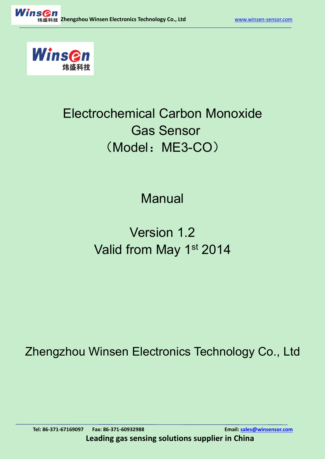

## Electrochemical Carbon Monoxide Gas Sensor (Model: ME3-CO)

## Manual

# Version 1.2 Valid from May 1st 2014 March 2014

Zhengzhou Winsen Electronics Technology Co., Ltd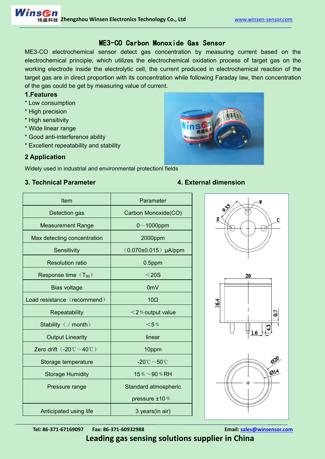### ME3-CO Carbon Monoxide Gas Sensor

ME3-CO electrochemical sensor detect gas concentration by measuring current based on the electrochemical principle, which utilizes the electrochemical oxidation process of target gas on the working electrode inside the electrolytic cell, the current produced in electrochemical reaction of the target gas are in direct proportion with its concentration while following Faraday law, then concentration of the gas could be get by measuring value of current.

### **1.Features**

- \* Low consumption
- \* High precision
- \* High sensitivity
- \* Wide linear range
- \* Good anti-interference ability
- \* Excellent repeatability and stability



### **2 Application**

Widely used in industrial and [environmental](app:ds:environmental) [protectionl](app:ds:protection) fields

### **3. Technical Parameter 4. External dimension**

| Item                                                       | Parameter                                      |      |
|------------------------------------------------------------|------------------------------------------------|------|
| Detection gas                                              | Carbon Monoxide(CO)                            | 95   |
| <b>Measurement Range</b>                                   | $0$ ~1000ppm                                   | R    |
| Max detecting concentration                                | 2000ppm                                        |      |
| Sensitivity                                                | $(0.070 \pm 0.015)$ µA/ppm                     |      |
| <b>Resolution ratio</b>                                    | $0.5$ ppm                                      |      |
| Response time (T <sub>90</sub> )                           | $<$ 20S                                        | 20   |
| <b>Bias voltage</b>                                        | 0 <sub>m</sub>                                 |      |
| Load resistance (recommend)                                | $10\Omega$                                     | 16.4 |
| Repeatability                                              | $<$ 2% output value                            | 0.7  |
| Stability ( / month)                                       | $<$ 5%                                         |      |
| <b>Output Linearity</b>                                    | linear                                         |      |
| Zero drift $(.20^{\circ}\text{C} \sim 40^{\circ}\text{C})$ | 10ppm                                          |      |
| Storage temperature                                        | -20 $^\circ\text{C}\!\sim\!50^\circ\!\text{C}$ | O)   |
| <b>Storage Humidity</b>                                    | 15% $\sim$ 90% RH                              | Øŀ   |
| Pressure range                                             | Standard atmospheric                           |      |
|                                                            | pressure ±10%                                  |      |
| Anticipated using life                                     | 3 years(in air)                                |      |
|                                                            |                                                |      |



**Tel: 86-371-67169097 Fax: 86-371-60932988 Email: [sales@winsensor.com](mailto:sales@winsensor.com)**

**Leading gas sensing solutions supplier in China**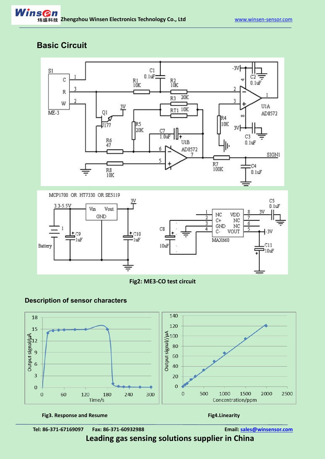## **Basic Circuit**



**Fig2: ME3-CO test circuit**



### **Description of sensor characters**

**Tel: 86-371-67169097 Fax: 86-371-60932988 Email: [sales@winsensor.com](mailto:sales@winsensor.com)**

**Leading gas sensing solutions supplier in China**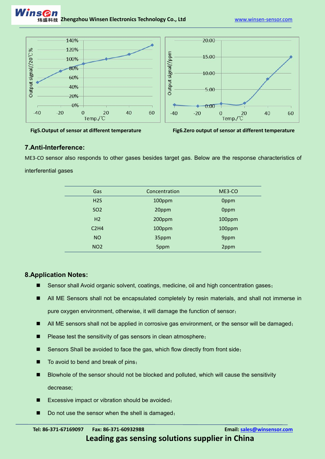



**Fig5.Output of sensor at different temperature Fig6.Zero output ofsensor at different temperature**

### **7.Anti-Interference:**

ME3-CO sensor also responds to other gases besides target gas. Below are the response characteristics of interferential gases

| Gas             | Concentration | ME3-CO |
|-----------------|---------------|--------|
| H2S             | 100ppm        | 0ppm   |
| SO <sub>2</sub> | 20ppm         | 0ppm   |
| H2              | 200ppm        | 100ppm |
| C2H4            | 100ppm        | 100ppm |
| <b>NO</b>       | 35ppm         | 9ppm   |
| NO <sub>2</sub> | 5ppm          | 2ppm   |
|                 |               |        |

### **8.Application Notes:**

- Sensor shall Avoid organic solvent, coatings, medicine, oil and high concentration gases;
- All ME Sensors shall not be encapsulated completely by resin materials, and shall not immerse in pure oxygen environment, otherwise, it will damage the function of sensor;
- All ME sensors shall not be applied in corrosive gas environment, or the sensor will be damaged;
- Please test the sensitivity of gas sensors in clean atmosphere;
- Sensors Shall be avoided to face the gas, which flow directly from front side;
- To avoid to bend and break of pins;
- Blowhole of the sensor should not be blocked and polluted, which will cause the sensitivity decrease;
- Excessive impact or vibration should be avoided;
- Do not use the sensor when the shell is damaged;